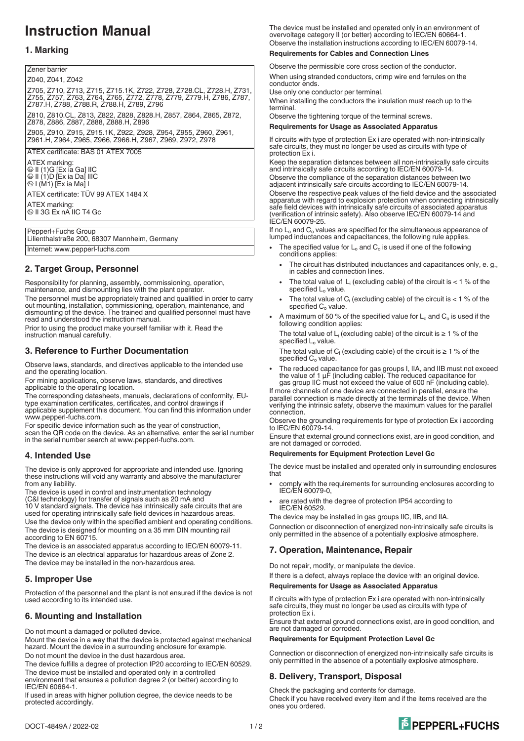# **Instruction Manual**

### **1. Marking**

Zener barrier

Z040, Z041, Z042

Z705, Z710, Z713, Z715, Z715.1K, Z722, Z728, Z728.CL, Z728.H, Z731, Z755, Z757, Z763, Z764, Z765, Z772, Z778, Z779, Z779.H, Z786, Z787, Z787.H, Z788, Z788.R, Z788.H, Z789, Z796 Z810, Z810.CL, Z813, Z822, Z828, Z828.H, Z857, Z864, Z865, Z872, Z878, Z886, Z887, Z888, Z888.H, Z896 Z905, Z910, Z915, Z915.1K, Z922, Z928, Z954, Z955, Z960, Z961, Z961.H, Z964, Z965, Z966, Z966.H, Z967, Z969, Z972, Z978

ATEX certificate: BAS 01 ATEX 7005

ATEX marking: 1 II (1)G [Ex ia Ga] IIC 1 II (1)D [Ex ia Da] IIIC 1 I (M1) [Ex ia Ma] I ATEX certificate: TÜV 99 ATEX 1484 X ATEX marking: <sup>43</sup> II 3G Ex nA IIC T4 Gc

Pepperl+Fuchs Group Lilienthalstraße 200, 68307 Mannheim, Germany Internet: www.pepperl-fuchs.com

# **2. Target Group, Personnel**

Responsibility for planning, assembly, commissioning, operation, maintenance, and dismounting lies with the plant operator. The personnel must be appropriately trained and qualified in order to carry out mounting, installation, commissioning, operation, maintenance, and dismounting of the device. The trained and qualified personnel must have

read and understood the instruction manual. Prior to using the product make yourself familiar with it. Read the

instruction manual carefully.

# **3. Reference to Further Documentation**

Observe laws, standards, and directives applicable to the intended use and the operating location.

For mining applications, observe laws, standards, and directives applicable to the operating location.

The corresponding datasheets, manuals, declarations of conformity, EUtype examination certificates, certificates, and control drawings if applicable supplement this document. You can find this information under www.pepperl-fuchs.com.

For specific device information such as the year of construction,

scan the QR code on the device. As an alternative, enter the serial number in the serial number search at www.pepperl-fuchs.com.

## **4. Intended Use**

The device is only approved for appropriate and intended use. Ignoring these instructions will void any warranty and absolve the manufacturer from any liability.

The device is used in control and instrumentation technology (C&I technology) for transfer of signals such as 20 mA and 10 V standard signals. The device has intrinsically safe circuits that are used for operating intrinsically safe field devices in hazardous areas. Use the device only within the specified ambient and operating conditions. The device is designed for mounting on a 35 mm DIN mounting rail according to EN 60715.

The device is an associated apparatus according to IEC/EN 60079-11. The device is an electrical apparatus for hazardous areas of Zone 2. The device may be installed in the non-hazardous area.

## **5. Improper Use**

Protection of the personnel and the plant is not ensured if the device is not used according to its intended use.

## **6. Mounting and Installation**

Do not mount a damaged or polluted device.

Mount the device in a way that the device is protected against mechanical hazard. Mount the device in a surrounding enclosure for example. Do not mount the device in the dust hazardous area.

The device fulfills a degree of protection IP20 according to IEC/EN 60529. The device must be installed and operated only in a controlled

environment that ensures a pollution degree 2 (or better) according to IEC/EN 60664-1.

If used in areas with higher pollution degree, the device needs to be protected accordingly.

The device must be installed and operated only in an environment of overvoltage category II (or better) according to IEC/EN 60664-1. Observe the installation instructions according to IEC/EN 60079-14.

#### **Requirements for Cables and Connection Lines**

Observe the permissible core cross section of the conductor.

When using stranded conductors, crimp wire end ferrules on the conductor ends.

Use only one conductor per terminal.

When installing the conductors the insulation must reach up to the terminal.

Observe the tightening torque of the terminal screws.

#### **Requirements for Usage as Associated Apparatus**

If circuits with type of protection Ex i are operated with non-intrinsically safe circuits, they must no longer be used as circuits with type of protection Ex i.

Keep the separation distances between all non-intrinsically safe circuits and intrinsically safe circuits according to IEC/EN 60079-14.

Observe the compliance of the separation distances between two adjacent intrinsically safe circuits according to IEC/EN 60079-14. Observe the respective peak values of the field device and the associated apparatus with regard to explosion protection when connecting intrinsically

safe field devices with intrinsically safe circuits of associated apparatus (verification of intrinsic safety). Also observe IEC/EN 60079-14 and IEC/EN 60079-25.

If no  $L_0$  and  $C_0$  values are specified for the simultaneous appearance of lumped inductances and capacitances, the following rule applies.

- The specified value for  $L_0$  and  $C_0$  is used if one of the following conditions applies:
	- The circuit has distributed inductances and capacitances only, e. g., in cables and connection lines.
	- The total value of  $L_i$  (excluding cable) of the circuit is  $< 1$  % of the specified  $L_0$  value.
	- The total value of  $C_i$  (excluding cable) of the circuit is  $< 1$  % of the specified  $C_0$  value.
- A maximum of 50 % of the specified value for  $L_0$  and  $C_0$  is used if the following condition applies:

The total value of L<sub>i</sub> (excluding cable) of the circuit is  $\geq 1$  % of the specified L<sub>o</sub> value.

The total value of C<sub>i</sub> (excluding cable) of the circuit is  $\geq 1$  % of the specified C<sub>o</sub> value.

• The reduced capacitance for gas groups I, IIA, and IIB must not exceed the value of 1 µF (including cable). The reduced capacitance for gas group IIC must not exceed the value of 600 nF (including cable).

If more channels of one device are connected in parallel, ensure the parallel connection is made directly at the terminals of the device. When verifying the intrinsic safety, observe the maximum values for the parallel connection.

Observe the grounding requirements for type of protection Ex i according to IEC/EN 60079‑14.

Ensure that external ground connections exist, are in good condition, and are not damaged or corroded.

#### **Requirements for Equipment Protection Level Gc**

The device must be installed and operated only in surrounding enclosures that

- comply with the requirements for surrounding enclosures according to IEC/EN 60079-0,
- are rated with the degree of protection IP54 according to IEC/EN 60529.

The device may be installed in gas groups IIC, IIB, and IIA.

Connection or disconnection of energized non-intrinsically safe circuits is only permitted in the absence of a potentially explosive atmosphere.

## **7. Operation, Maintenance, Repair**

Do not repair, modify, or manipulate the device.

If there is a defect, always replace the device with an original device.

#### **Requirements for Usage as Associated Apparatus**

If circuits with type of protection Ex i are operated with non-intrinsically safe circuits, they must no longer be used as circuits with type of protection Ex i.

Ensure that external ground connections exist, are in good condition, and are not damaged or corroded.

#### **Requirements for Equipment Protection Level Gc**

Connection or disconnection of energized non-intrinsically safe circuits is only permitted in the absence of a potentially explosive atmosphere.

## **8. Delivery, Transport, Disposal**

Check the packaging and contents for damage.

Check if you have received every item and if the items received are the ones you ordered.